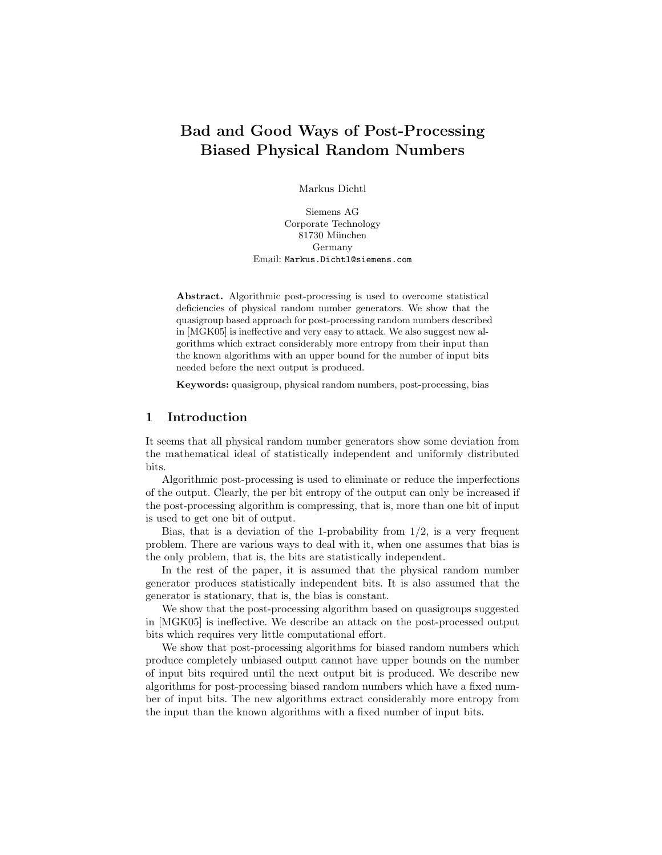# Bad and Good Ways of Post-Processing Biased Physical Random Numbers

Markus Dichtl

Siemens AG Corporate Technology 81730 München Germany Email: Markus.Dichtl@siemens.com

Abstract. Algorithmic post-processing is used to overcome statistical deficiencies of physical random number generators. We show that the quasigroup based approach for post-processing random numbers described in [MGK05] is ineffective and very easy to attack. We also suggest new algorithms which extract considerably more entropy from their input than the known algorithms with an upper bound for the number of input bits needed before the next output is produced.

Keywords: quasigroup, physical random numbers, post-processing, bias

## 1 Introduction

It seems that all physical random number generators show some deviation from the mathematical ideal of statistically independent and uniformly distributed bits.

Algorithmic post-processing is used to eliminate or reduce the imperfections of the output. Clearly, the per bit entropy of the output can only be increased if the post-processing algorithm is compressing, that is, more than one bit of input is used to get one bit of output.

Bias, that is a deviation of the 1-probability from  $1/2$ , is a very frequent problem. There are various ways to deal with it, when one assumes that bias is the only problem, that is, the bits are statistically independent.

In the rest of the paper, it is assumed that the physical random number generator produces statistically independent bits. It is also assumed that the generator is stationary, that is, the bias is constant.

We show that the post-processing algorithm based on quasigroups suggested in [MGK05] is ineffective. We describe an attack on the post-processed output bits which requires very little computational effort.

We show that post-processing algorithms for biased random numbers which produce completely unbiased output cannot have upper bounds on the number of input bits required until the next output bit is produced. We describe new algorithms for post-processing biased random numbers which have a fixed number of input bits. The new algorithms extract considerably more entropy from the input than the known algorithms with a fixed number of input bits.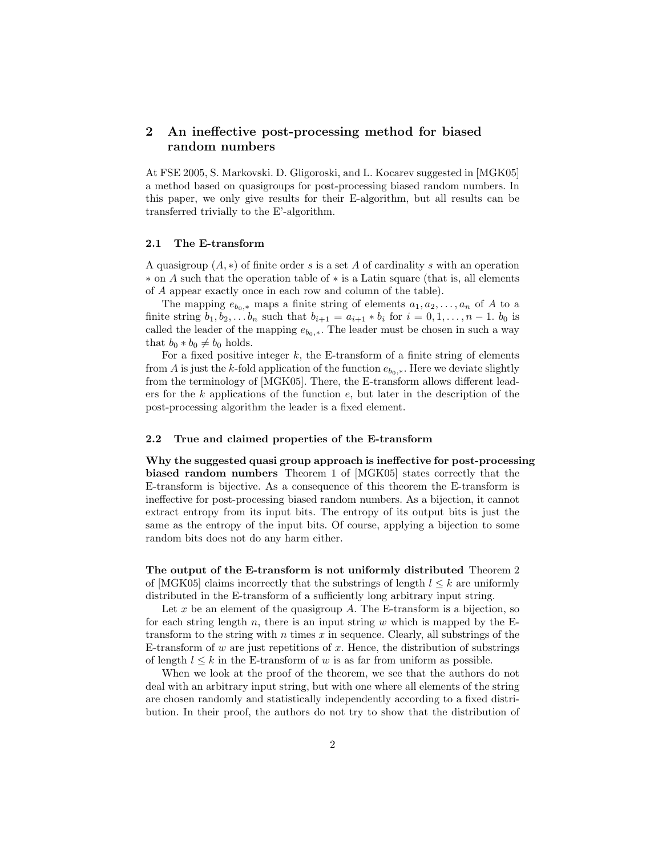## 2 An ineffective post-processing method for biased random numbers

At FSE 2005, S. Markovski. D. Gligoroski, and L. Kocarev suggested in [MGK05] a method based on quasigroups for post-processing biased random numbers. In this paper, we only give results for their E-algorithm, but all results can be transferred trivially to the E'-algorithm.

## 2.1 The E-transform

A quasigroup  $(A, *)$  of finite order s is a set A of cardinality s with an operation ∗ on A such that the operation table of ∗ is a Latin square (that is, all elements of A appear exactly once in each row and column of the table).

The mapping  $e_{b_0,*}$  maps a finite string of elements  $a_1, a_2, \ldots, a_n$  of A to a finite string  $b_1, b_2, \ldots b_n$  such that  $b_{i+1} = a_{i+1} * b_i$  for  $i = 0, 1, \ldots, n-1$ .  $b_0$  is called the leader of the mapping  $e_{b_0,*}$ . The leader must be chosen in such a way that  $b_0 * b_0 \neq b_0$  holds.

For a fixed positive integer  $k$ , the E-transform of a finite string of elements from A is just the k-fold application of the function  $e_{b_0,*}$ . Here we deviate slightly from the terminology of [MGK05]. There, the E-transform allows different leaders for the  $k$  applications of the function  $e$ , but later in the description of the post-processing algorithm the leader is a fixed element.

### 2.2 True and claimed properties of the E-transform

Why the suggested quasi group approach is ineffective for post-processing biased random numbers Theorem 1 of [MGK05] states correctly that the E-transform is bijective. As a consequence of this theorem the E-transform is ineffective for post-processing biased random numbers. As a bijection, it cannot extract entropy from its input bits. The entropy of its output bits is just the same as the entropy of the input bits. Of course, applying a bijection to some random bits does not do any harm either.

The output of the E-transform is not uniformly distributed Theorem 2 of [MGK05] claims incorrectly that the substrings of length  $l \leq k$  are uniformly distributed in the E-transform of a sufficiently long arbitrary input string.

Let x be an element of the quasigroup A. The E-transform is a bijection, so for each string length  $n$ , there is an input string  $w$  which is mapped by the Etransform to the string with n times  $x$  in sequence. Clearly, all substrings of the E-transform of  $w$  are just repetitions of  $x$ . Hence, the distribution of substrings of length  $l \leq k$  in the E-transform of w is as far from uniform as possible.

When we look at the proof of the theorem, we see that the authors do not deal with an arbitrary input string, but with one where all elements of the string are chosen randomly and statistically independently according to a fixed distribution. In their proof, the authors do not try to show that the distribution of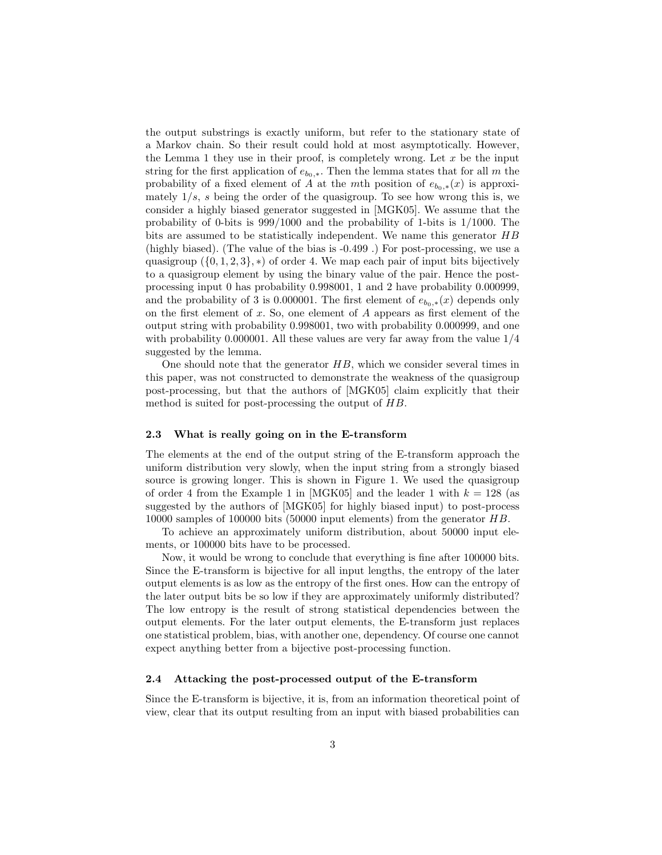the output substrings is exactly uniform, but refer to the stationary state of a Markov chain. So their result could hold at most asymptotically. However, the Lemma 1 they use in their proof, is completely wrong. Let  $x$  be the input string for the first application of  $e_{b_0,*}$ . Then the lemma states that for all m the probability of a fixed element of A at the mth position of  $e_{b_0,*}(x)$  is approximately  $1/s$ , s being the order of the quasigroup. To see how wrong this is, we consider a highly biased generator suggested in [MGK05]. We assume that the probability of 0-bits is 999/1000 and the probability of 1-bits is 1/1000. The bits are assumed to be statistically independent. We name this generator HB (highly biased). (The value of the bias is -0.499 .) For post-processing, we use a quasigroup  $({0, 1, 2, 3}, *)$  of order 4. We map each pair of input bits bijectively to a quasigroup element by using the binary value of the pair. Hence the postprocessing input 0 has probability 0.998001, 1 and 2 have probability 0.000999, and the probability of 3 is 0.000001. The first element of  $e_{b_0,*}(x)$  depends only on the first element of x. So, one element of A appears as first element of the output string with probability 0.998001, two with probability 0.000999, and one with probability 0.000001. All these values are very far away from the value 1/4 suggested by the lemma.

One should note that the generator  $HB$ , which we consider several times in this paper, was not constructed to demonstrate the weakness of the quasigroup post-processing, but that the authors of [MGK05] claim explicitly that their method is suited for post-processing the output of HB.

### 2.3 What is really going on in the E-transform

The elements at the end of the output string of the E-transform approach the uniform distribution very slowly, when the input string from a strongly biased source is growing longer. This is shown in Figure 1. We used the quasigroup of order 4 from the Example 1 in [MGK05] and the leader 1 with  $k = 128$  (as suggested by the authors of [MGK05] for highly biased input) to post-process 10000 samples of 100000 bits (50000 input elements) from the generator HB.

To achieve an approximately uniform distribution, about 50000 input elements, or 100000 bits have to be processed.

Now, it would be wrong to conclude that everything is fine after 100000 bits. Since the E-transform is bijective for all input lengths, the entropy of the later output elements is as low as the entropy of the first ones. How can the entropy of the later output bits be so low if they are approximately uniformly distributed? The low entropy is the result of strong statistical dependencies between the output elements. For the later output elements, the E-transform just replaces one statistical problem, bias, with another one, dependency. Of course one cannot expect anything better from a bijective post-processing function.

### 2.4 Attacking the post-processed output of the E-transform

Since the E-transform is bijective, it is, from an information theoretical point of view, clear that its output resulting from an input with biased probabilities can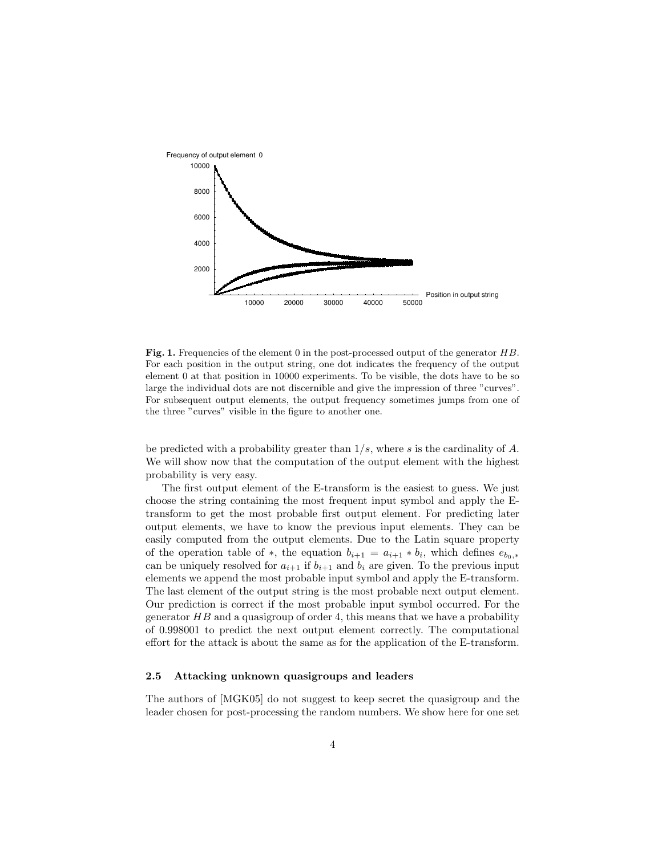

Fig. 1. Frequencies of the element 0 in the post-processed output of the generator HB. For each position in the output string, one dot indicates the frequency of the output element 0 at that position in 10000 experiments. To be visible, the dots have to be so large the individual dots are not discernible and give the impression of three "curves". For subsequent output elements, the output frequency sometimes jumps from one of the three "curves" visible in the figure to another one.

be predicted with a probability greater than  $1/s$ , where s is the cardinality of A. We will show now that the computation of the output element with the highest probability is very easy.

The first output element of the E-transform is the easiest to guess. We just choose the string containing the most frequent input symbol and apply the Etransform to get the most probable first output element. For predicting later output elements, we have to know the previous input elements. They can be easily computed from the output elements. Due to the Latin square property of the operation table of  $*$ , the equation  $b_{i+1} = a_{i+1} * b_i$ , which defines  $e_{b_0,*}$ can be uniquely resolved for  $a_{i+1}$  if  $b_{i+1}$  and  $b_i$  are given. To the previous input elements we append the most probable input symbol and apply the E-transform. The last element of the output string is the most probable next output element. Our prediction is correct if the most probable input symbol occurred. For the generator  $HB$  and a quasigroup of order 4, this means that we have a probability of 0.998001 to predict the next output element correctly. The computational effort for the attack is about the same as for the application of the E-transform.

## 2.5 Attacking unknown quasigroups and leaders

The authors of [MGK05] do not suggest to keep secret the quasigroup and the leader chosen for post-processing the random numbers. We show here for one set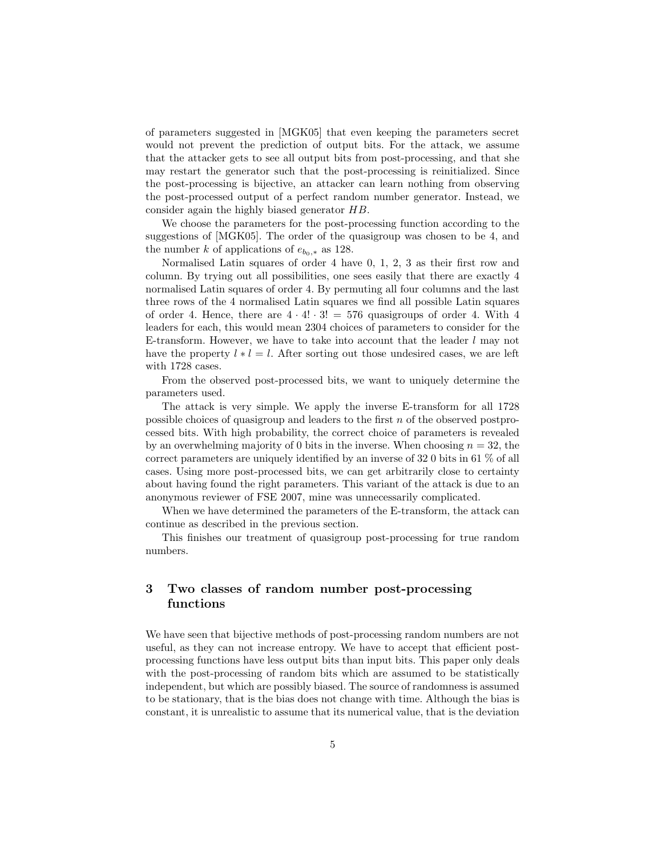of parameters suggested in [MGK05] that even keeping the parameters secret would not prevent the prediction of output bits. For the attack, we assume that the attacker gets to see all output bits from post-processing, and that she may restart the generator such that the post-processing is reinitialized. Since the post-processing is bijective, an attacker can learn nothing from observing the post-processed output of a perfect random number generator. Instead, we consider again the highly biased generator HB.

We choose the parameters for the post-processing function according to the suggestions of [MGK05]. The order of the quasigroup was chosen to be 4, and the number k of applications of  $e_{b_0,*}$  as 128.

Normalised Latin squares of order 4 have 0, 1, 2, 3 as their first row and column. By trying out all possibilities, one sees easily that there are exactly 4 normalised Latin squares of order 4. By permuting all four columns and the last three rows of the 4 normalised Latin squares we find all possible Latin squares of order 4. Hence, there are  $4 \cdot 4! \cdot 3! = 576$  quasigroups of order 4. With 4 leaders for each, this would mean 2304 choices of parameters to consider for the E-transform. However, we have to take into account that the leader  $l$  may not have the property  $l * l = l$ . After sorting out those undesired cases, we are left with 1728 cases.

From the observed post-processed bits, we want to uniquely determine the parameters used.

The attack is very simple. We apply the inverse E-transform for all 1728 possible choices of quasigroup and leaders to the first  $n$  of the observed postprocessed bits. With high probability, the correct choice of parameters is revealed by an overwhelming majority of 0 bits in the inverse. When choosing  $n = 32$ , the correct parameters are uniquely identified by an inverse of 32 0 bits in 61 % of all cases. Using more post-processed bits, we can get arbitrarily close to certainty about having found the right parameters. This variant of the attack is due to an anonymous reviewer of FSE 2007, mine was unnecessarily complicated.

When we have determined the parameters of the E-transform, the attack can continue as described in the previous section.

This finishes our treatment of quasigroup post-processing for true random numbers.

## 3 Two classes of random number post-processing functions

We have seen that bijective methods of post-processing random numbers are not useful, as they can not increase entropy. We have to accept that efficient postprocessing functions have less output bits than input bits. This paper only deals with the post-processing of random bits which are assumed to be statistically independent, but which are possibly biased. The source of randomness is assumed to be stationary, that is the bias does not change with time. Although the bias is constant, it is unrealistic to assume that its numerical value, that is the deviation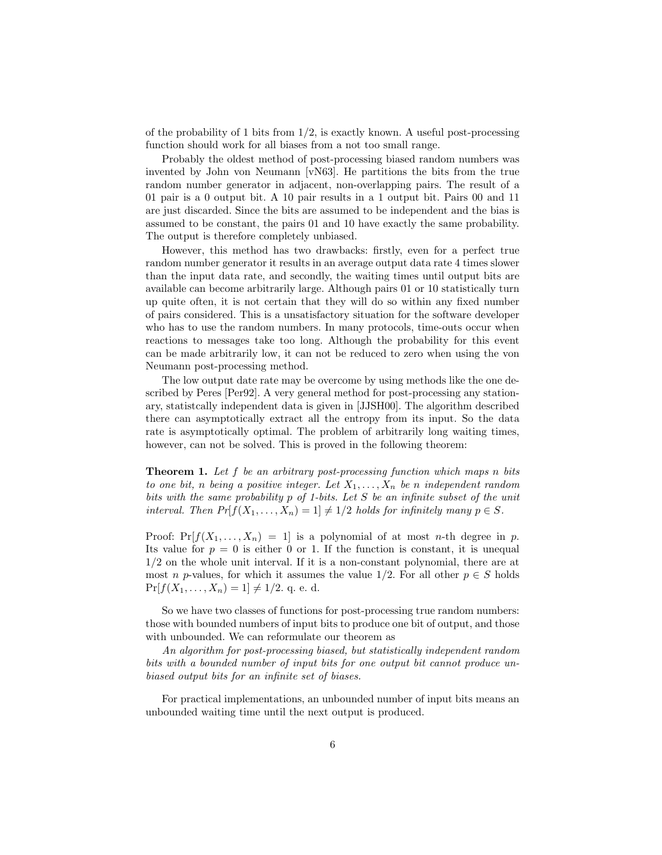of the probability of 1 bits from  $1/2$ , is exactly known. A useful post-processing function should work for all biases from a not too small range.

Probably the oldest method of post-processing biased random numbers was invented by John von Neumann [vN63]. He partitions the bits from the true random number generator in adjacent, non-overlapping pairs. The result of a 01 pair is a 0 output bit. A 10 pair results in a 1 output bit. Pairs 00 and 11 are just discarded. Since the bits are assumed to be independent and the bias is assumed to be constant, the pairs 01 and 10 have exactly the same probability. The output is therefore completely unbiased.

However, this method has two drawbacks: firstly, even for a perfect true random number generator it results in an average output data rate 4 times slower than the input data rate, and secondly, the waiting times until output bits are available can become arbitrarily large. Although pairs 01 or 10 statistically turn up quite often, it is not certain that they will do so within any fixed number of pairs considered. This is a unsatisfactory situation for the software developer who has to use the random numbers. In many protocols, time-outs occur when reactions to messages take too long. Although the probability for this event can be made arbitrarily low, it can not be reduced to zero when using the von Neumann post-processing method.

The low output date rate may be overcome by using methods like the one described by Peres [Per92]. A very general method for post-processing any stationary, statistcally independent data is given in [JJSH00]. The algorithm described there can asymptotically extract all the entropy from its input. So the data rate is asymptotically optimal. The problem of arbitrarily long waiting times, however, can not be solved. This is proved in the following theorem:

**Theorem 1.** Let f be an arbitrary post-processing function which maps n bits to one bit, n being a positive integer. Let  $X_1, \ldots, X_n$  be n independent random bits with the same probability p of 1-bits. Let S be an infinite subset of the unit interval. Then  $Pr[f(X_1, ..., X_n) = 1] \neq 1/2$  holds for infinitely many  $p \in S$ .

Proof:  $Pr[f(X_1, \ldots, X_n) = 1]$  is a polynomial of at most *n*-th degree in *p*. Its value for  $p = 0$  is either 0 or 1. If the function is constant, it is unequal  $1/2$  on the whole unit interval. If it is a non-constant polynomial, there are at most n p-values, for which it assumes the value 1/2. For all other  $p \in S$  holds  $Pr[f(X_1, \ldots, X_n) = 1] \neq 1/2$ . q. e. d.

So we have two classes of functions for post-processing true random numbers: those with bounded numbers of input bits to produce one bit of output, and those with unbounded. We can reformulate our theorem as

An algorithm for post-processing biased, but statistically independent random bits with a bounded number of input bits for one output bit cannot produce unbiased output bits for an infinite set of biases.

For practical implementations, an unbounded number of input bits means an unbounded waiting time until the next output is produced.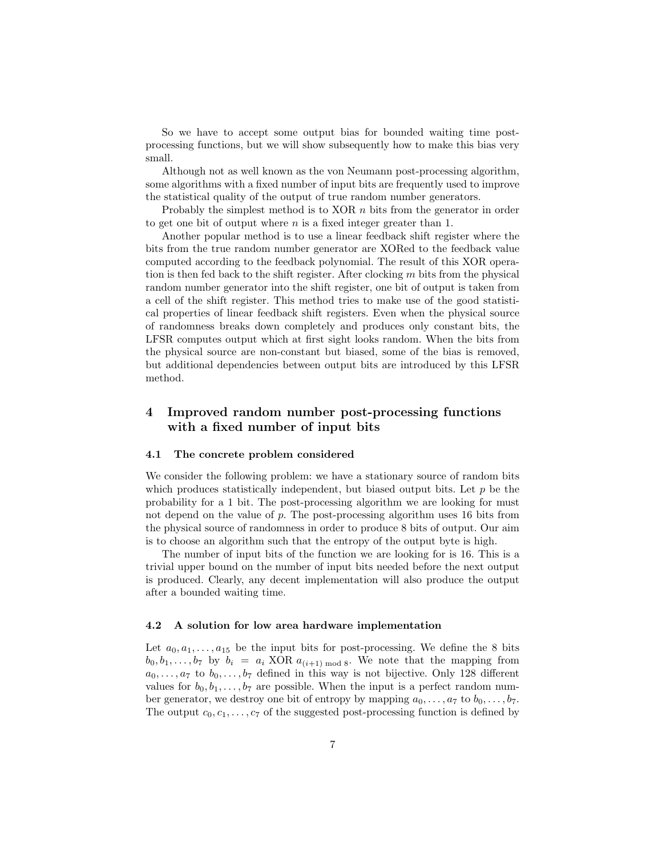So we have to accept some output bias for bounded waiting time postprocessing functions, but we will show subsequently how to make this bias very small.

Although not as well known as the von Neumann post-processing algorithm, some algorithms with a fixed number of input bits are frequently used to improve the statistical quality of the output of true random number generators.

Probably the simplest method is to XOR  $n$  bits from the generator in order to get one bit of output where  $n$  is a fixed integer greater than 1.

Another popular method is to use a linear feedback shift register where the bits from the true random number generator are XORed to the feedback value computed according to the feedback polynomial. The result of this XOR operation is then fed back to the shift register. After clocking  $m$  bits from the physical random number generator into the shift register, one bit of output is taken from a cell of the shift register. This method tries to make use of the good statistical properties of linear feedback shift registers. Even when the physical source of randomness breaks down completely and produces only constant bits, the LFSR computes output which at first sight looks random. When the bits from the physical source are non-constant but biased, some of the bias is removed, but additional dependencies between output bits are introduced by this LFSR method.

## 4 Improved random number post-processing functions with a fixed number of input bits

### 4.1 The concrete problem considered

We consider the following problem: we have a stationary source of random bits which produces statistically independent, but biased output bits. Let  $p$  be the probability for a 1 bit. The post-processing algorithm we are looking for must not depend on the value of  $p$ . The post-processing algorithm uses 16 bits from the physical source of randomness in order to produce 8 bits of output. Our aim is to choose an algorithm such that the entropy of the output byte is high.

The number of input bits of the function we are looking for is 16. This is a trivial upper bound on the number of input bits needed before the next output is produced. Clearly, any decent implementation will also produce the output after a bounded waiting time.

#### 4.2 A solution for low area hardware implementation

Let  $a_0, a_1, \ldots, a_{15}$  be the input bits for post-processing. We define the 8 bits  $b_0, b_1, \ldots, b_7$  by  $b_i = a_i$  XOR  $a_{(i+1) \mod 8}$ . We note that the mapping from  $a_0, \ldots, a_7$  to  $b_0, \ldots, b_7$  defined in this way is not bijective. Only 128 different values for  $b_0, b_1, \ldots, b_7$  are possible. When the input is a perfect random number generator, we destroy one bit of entropy by mapping  $a_0, \ldots, a_7$  to  $b_0, \ldots, b_7$ . The output  $c_0, c_1, \ldots, c_7$  of the suggested post-processing function is defined by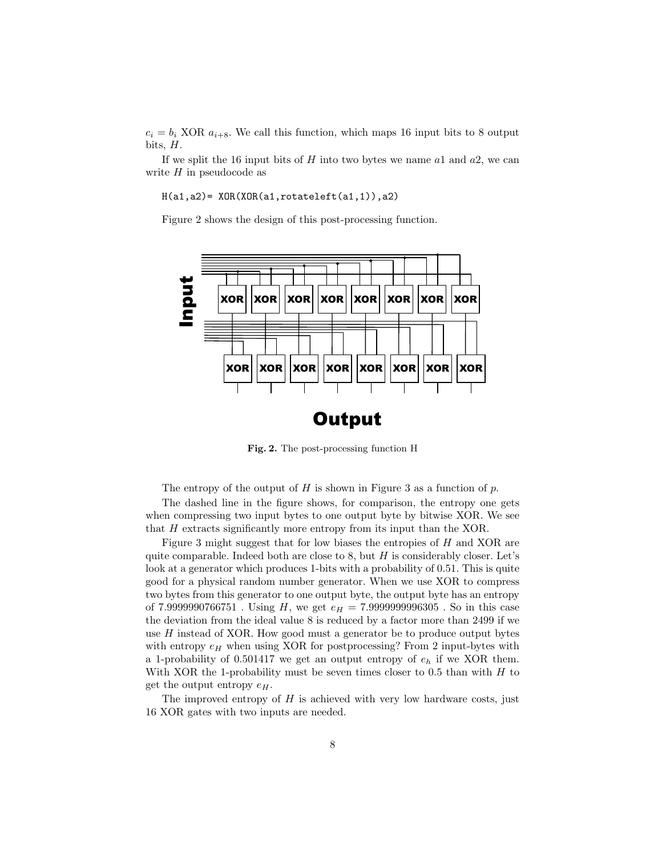$c_i = b_i$  XOR  $a_{i+8}$ . We call this function, which maps 16 input bits to 8 output bits,  $H$ .

If we split the 16 input bits of  $H$  into two bytes we name  $a_1$  and  $a_2$ , we can write  $H$  in pseudocode as

H(a1,a2)= XOR(XOR(a1,rotateleft(a1,1)),a2)

Figure 2 shows the design of this post-processing function.



Fig. 2. The post-processing function H

The entropy of the output of  $H$  is shown in Figure 3 as a function of  $p$ .

The dashed line in the figure shows, for comparison, the entropy one gets when compressing two input bytes to one output byte by bitwise XOR. We see that H extracts significantly more entropy from its input than the XOR.

Figure 3 might suggest that for low biases the entropies of  $H$  and XOR are quite comparable. Indeed both are close to 8, but  $H$  is considerably closer. Let's look at a generator which produces 1-bits with a probability of 0.51. This is quite good for a physical random number generator. When we use XOR to compress two bytes from this generator to one output byte, the output byte has an entropy of 7.9999990766751. Using H, we get  $e_H = 7.999999996305$ . So in this case the deviation from the ideal value 8 is reduced by a factor more than 2499 if we use  $H$  instead of XOR. How good must a generator be to produce output bytes with entropy  $e_H$  when using XOR for postprocessing? From 2 input-bytes with a 1-probability of 0.501417 we get an output entropy of  $e_h$  if we XOR them. With XOR the 1-probability must be seven times closer to 0.5 than with  $H$  to get the output entropy  $e_H$ .

The improved entropy of  $H$  is achieved with very low hardware costs, just 16 XOR gates with two inputs are needed.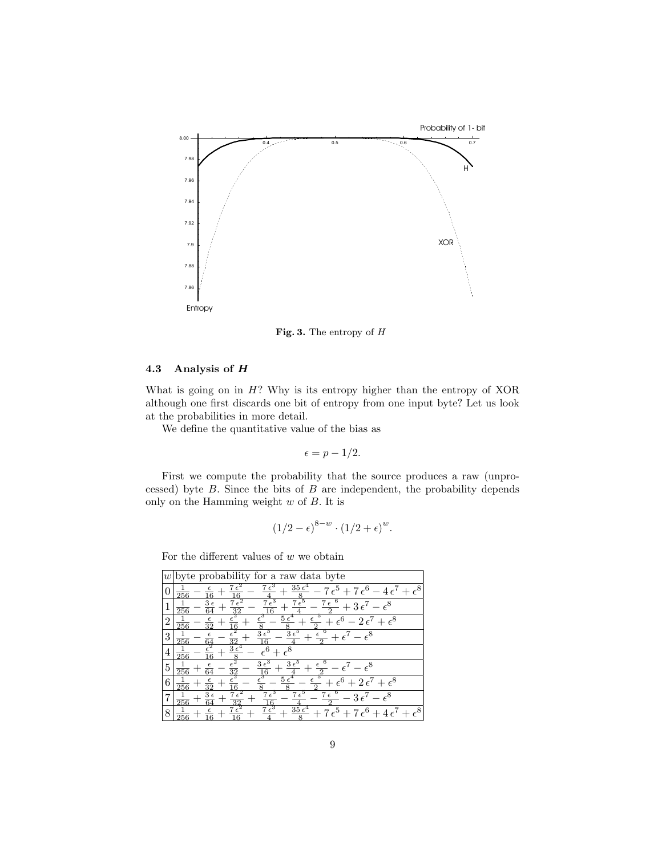

Fig. 3. The entropy of  $H$ 

## 4.3 Analysis of H

What is going on in  $H$ ? Why is its entropy higher than the entropy of XOR although one first discards one bit of entropy from one input byte? Let us look at the probabilities in more detail.

We define the quantitative value of the bias as

$$
\epsilon = p - 1/2.
$$

First we compute the probability that the source produces a raw (unprocessed) byte  $B$ . Since the bits of  $B$  are independent, the probability depends only on the Hamming weight  $w$  of  $B$ . It is

$$
(1/2 - \epsilon)^{8-w} \cdot (1/2 + \epsilon)^w.
$$

For the different values of  $w$  we obtain

|                | $w$ byte probability for a raw data byte                                                                                                       |
|----------------|------------------------------------------------------------------------------------------------------------------------------------------------|
| $\Omega$       | $35\,\epsilon^4$<br>$\epsilon^\circ$<br>$7\epsilon^5 + 7\epsilon^6 - 4\epsilon^7 + \epsilon^8$<br>7 e '<br>256<br>16                           |
|                | $7\epsilon^3$<br>$7\,\epsilon^5$<br>$3\,\epsilon$<br>$7\,\epsilon^2$<br>7 $\epsilon$<br>$-\epsilon^8$<br>$\overline{256}$<br>32<br>16<br>64    |
| $\overline{2}$ | $\epsilon^{\overline{3}}$<br>-5<br>$5\,\epsilon^4$<br>$2\epsilon^7+\epsilon^8$<br>$\epsilon$<br>$\epsilon$<br>$\overline{256}$<br>32<br>8<br>8 |
| 3              | $3\epsilon^3$<br>$3\epsilon^5$<br>6<br>$\epsilon^8$<br>$\epsilon$<br>256<br>32<br>16<br>64                                                     |
| $\overline{4}$ | $3\epsilon^4$<br>$\epsilon^6$<br>$\overline{256}$<br>16                                                                                        |
| 5              | $3\epsilon^3$<br>$3\,\epsilon^5$<br>$\epsilon^8$<br>$\epsilon$<br>$\overline{256}$<br>64<br>16<br>32                                           |
| 6              | $+ \epsilon^8$<br>$2\epsilon^7$<br>$\epsilon$<br>256<br>39<br>16<br>$\Omega$<br>8                                                              |
|                | $7\,\epsilon^3$<br>$7\epsilon^5$<br>$7\,\epsilon^2$<br>$7\epsilon$<br>$3\,\epsilon$<br>256<br>32<br>16                                         |
| 8              | $7\epsilon^3$<br>$35\,\epsilon^4$<br>$7\epsilon^5 + 7\epsilon^6 + 4\epsilon^7 + \epsilon^8$<br>$7\,\epsilon$<br>256                            |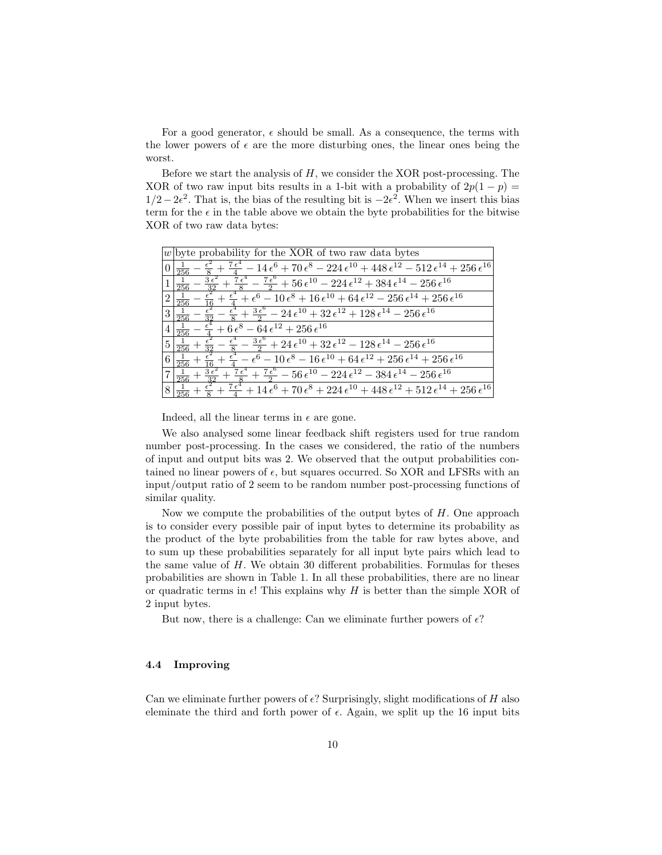For a good generator,  $\epsilon$  should be small. As a consequence, the terms with the lower powers of  $\epsilon$  are the more disturbing ones, the linear ones being the worst.

Before we start the analysis of  $H$ , we consider the XOR post-processing. The XOR of two raw input bits results in a 1-bit with a probability of  $2p(1-p) =$ 1/2 – 2ε<sup>2</sup>. That is, the bias of the resulting bit is  $-2ε<sup>2</sup>$ . When we insert this bias term for the  $\epsilon$  in the table above we obtain the byte probabilities for the bitwise XOR of two raw data bytes:

| $ w $ byte probability for the XOR of two raw data bytes                                                                                                                                            |
|-----------------------------------------------------------------------------------------------------------------------------------------------------------------------------------------------------|
| $\frac{1}{256}-\frac{\epsilon^2}{8}+\frac{7\,\epsilon^4}{4}-14\,\epsilon^6+70\,\epsilon^8-224\,\epsilon^{10}+448\,\epsilon^{12}-512\,\epsilon^{14}+256\,\epsilon^{16}$<br>$\overline{0}$            |
| $\frac{3\epsilon^2}{32} + \frac{7\epsilon^4}{8} - \frac{7\epsilon^6}{2} + 56\epsilon^{10} - 224\epsilon^{12} + 384\epsilon^{14} - 256\epsilon^{16}$<br>$\frac{1}{256}$<br>1 <sup>1</sup>            |
| $\frac{\epsilon^2}{16} + \frac{\epsilon^4}{4} + \epsilon^6 - 10\,\epsilon^8 + 16\,\epsilon^{10} + 64\,\epsilon^{12} - 256\,\epsilon^{14} + 256\,\epsilon^{16}$<br>$2\left  \frac{1}{256} - \right $ |
| $-\frac{\epsilon^4}{8}+\frac{3\,\epsilon^6}{2}-24\,\epsilon^{10}+32\,\epsilon^{12}+128\,\epsilon^{14}-256\,\epsilon^{16}$<br>$3\frac{1}{256}$                                                       |
| $+6\,\epsilon^8 - 64\,\epsilon^{\overline{12}} + 256\,\epsilon^{\overline{16}}$<br>4 <br>$\frac{1}{256}$                                                                                            |
| $5\left[\frac{1}{256} + \frac{\epsilon^2}{32} - \frac{\epsilon^4}{8} - \frac{3\,\epsilon^6}{2} + 24\,\epsilon^{10} + 32\,\epsilon^{12} - 128\,\epsilon^{14} - 256\,\epsilon^{16}\right]$            |
| $\frac{\epsilon^2}{16}+\frac{\epsilon^4}{4}-\epsilon^6-10\,\epsilon^8-16\,\epsilon^{10}+64\,\epsilon^{12}+256\,\epsilon^{14}+256\,\epsilon^{16}$<br>$ 6 \frac{1}{256}+$                             |
| $\frac{7\epsilon^4}{8} + \frac{7\epsilon^6}{2} - 56\epsilon^{10} - 224\epsilon^{12} - 384\epsilon^{14} - 256\epsilon^{16}$<br>$\frac{1}{256} + \frac{3\epsilon^2}{256}$<br>7                        |
| $\frac{\epsilon^2}{8} + \frac{7\epsilon^4}{4} + 14\epsilon^6 + 70\epsilon^8 + 224\epsilon^{10} + 448\epsilon^{12} + 512\epsilon^{14} + 256\epsilon^{16}$<br>8 <sup>8</sup><br>$\frac{1}{256}$       |

Indeed, all the linear terms in  $\epsilon$  are gone.

We also analysed some linear feedback shift registers used for true random number post-processing. In the cases we considered, the ratio of the numbers of input and output bits was 2. We observed that the output probabilities contained no linear powers of  $\epsilon$ , but squares occurred. So XOR and LFSRs with an input/output ratio of 2 seem to be random number post-processing functions of similar quality.

Now we compute the probabilities of the output bytes of  $H$ . One approach is to consider every possible pair of input bytes to determine its probability as the product of the byte probabilities from the table for raw bytes above, and to sum up these probabilities separately for all input byte pairs which lead to the same value of  $H$ . We obtain 30 different probabilities. Formulas for theses probabilities are shown in Table 1. In all these probabilities, there are no linear or quadratic terms in  $\epsilon$ ! This explains why H is better than the simple XOR of 2 input bytes.

But now, there is a challenge: Can we eliminate further powers of  $\epsilon$ ?

## 4.4 Improving

Can we eliminate further powers of  $\epsilon$ ? Surprisingly, slight modifications of H also eleminate the third and forth power of  $\epsilon$ . Again, we split up the 16 input bits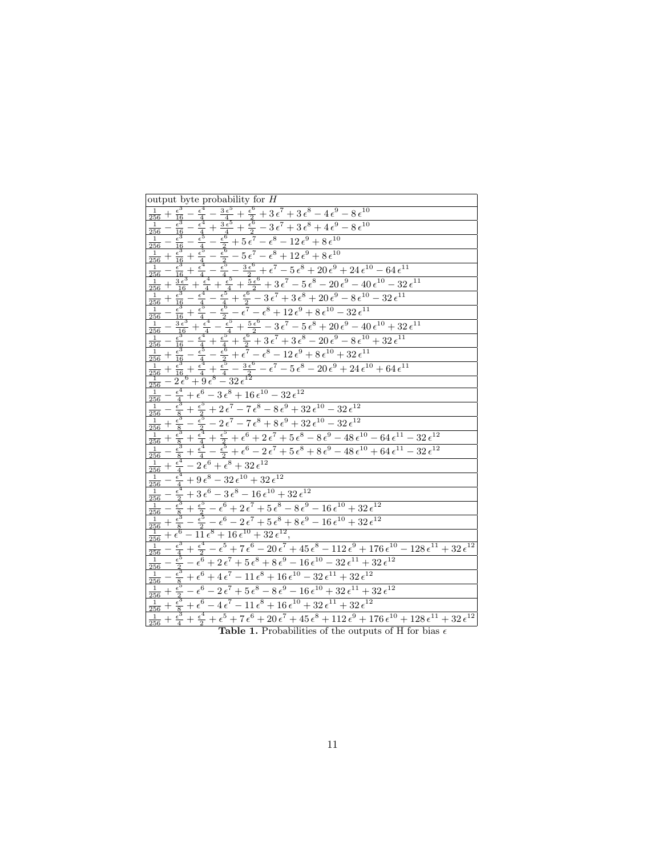| output byte probability for $H$                                                                                                                                                                                                                                                                                                                                                                                                                        |
|--------------------------------------------------------------------------------------------------------------------------------------------------------------------------------------------------------------------------------------------------------------------------------------------------------------------------------------------------------------------------------------------------------------------------------------------------------|
| $\frac{3\,\epsilon^5}{4}+\frac{\epsilon^6}{2}+3\,\epsilon^7+3\,\epsilon^8-4\,\epsilon^9-8\,\epsilon^{10}$<br>$\frac{1}{256} + \frac{\epsilon^3}{16}$<br>$-\frac{\epsilon^4}{4}$ -                                                                                                                                                                                                                                                                      |
|                                                                                                                                                                                                                                                                                                                                                                                                                                                        |
|                                                                                                                                                                                                                                                                                                                                                                                                                                                        |
|                                                                                                                                                                                                                                                                                                                                                                                                                                                        |
|                                                                                                                                                                                                                                                                                                                                                                                                                                                        |
|                                                                                                                                                                                                                                                                                                                                                                                                                                                        |
|                                                                                                                                                                                                                                                                                                                                                                                                                                                        |
|                                                                                                                                                                                                                                                                                                                                                                                                                                                        |
|                                                                                                                                                                                                                                                                                                                                                                                                                                                        |
| $\frac{\frac{256}{256}-\frac{8}{16}+\frac{4}{64}-\frac{2}{6}+\frac{5}{26}-3\epsilon^7-5\epsilon^8+20\epsilon^9-40\epsilon^{10}+32\epsilon^{11}}{\frac{1}{256}-\frac{\epsilon^3}{16}-\frac{\epsilon^4}{4}+\frac{\epsilon^5}{4}+\frac{\epsilon^6}{2}+3\epsilon^7+3\epsilon^8-20\epsilon^9-8\epsilon^{10}+32\epsilon^{11}}{\frac{1}{256}+\frac{\epsilon^3}{16}-\frac{\epsilon^5}{4}-\frac{\epsilon^6}{16}+\epsilon^7-\epsilon^8-12\epsilon^9+8\epsilon^{$ |
|                                                                                                                                                                                                                                                                                                                                                                                                                                                        |
| $\frac{\frac{1}{256} + \frac{\epsilon^3}{16} + \frac{\frac{4}{4}}{4} + \frac{\frac{2}{4}}{4} - \frac{3\epsilon^6}{2} - \epsilon^7 - 5\epsilon^8 - 20\epsilon^9 + 24\epsilon^{10} + 64\epsilon^{11}}}{\frac{\frac{1}{256} - 2\epsilon^6 + 9\epsilon^8 - 32\epsilon^{12}}{4} - 32\epsilon^{12}}$                                                                                                                                                         |
|                                                                                                                                                                                                                                                                                                                                                                                                                                                        |
| $\frac{1}{256}-\frac{\epsilon^4}{4}+\epsilon^6-3\,\epsilon^8+16\,\epsilon^{10}-32\,\epsilon^{12}$                                                                                                                                                                                                                                                                                                                                                      |
|                                                                                                                                                                                                                                                                                                                                                                                                                                                        |
| $\frac{\frac{1}{256}-\frac{\epsilon^3}{8}+\frac{\epsilon^5}{2}+2\epsilon^7-7\epsilon^8-8\epsilon^9+32\epsilon^{10}-32\epsilon^{12}}{\frac{1}{256}+\frac{\epsilon^3}{8}-\frac{\epsilon^5}{2}-2\epsilon^7-7\epsilon^8+8\epsilon^9+32\epsilon^{10}-32\epsilon^{12}}$                                                                                                                                                                                      |
| $\tfrac{1}{256}+\tfrac{\epsilon^3}{8}+\tfrac{\epsilon^4}{4}+\tfrac{\epsilon^5}{2}+\epsilon^6+2\,\epsilon^7+5\,\epsilon^8-8\,\epsilon^9-48\,\epsilon^{10}-64\,\epsilon^{11}-32\,\epsilon^{12}$                                                                                                                                                                                                                                                          |
| $+\frac{\epsilon^4}{4}-\frac{\epsilon^5}{2}+\epsilon^6-2\,\epsilon^7+5\,\epsilon^8+8\,\epsilon^9-48\,\epsilon^{10}+64\,\epsilon^{11}-32\,\epsilon^{12}$<br>$\frac{1}{256}-\frac{\epsilon^3}{8}$                                                                                                                                                                                                                                                        |
| $\frac{1}{256}+\frac{\epsilon^4}{4}-2\,\epsilon^6+\epsilon^8+32\,\epsilon^{12}$                                                                                                                                                                                                                                                                                                                                                                        |
| $\tfrac{1}{256}-\tfrac{\epsilon^4}{4}+9\,\epsilon^8-32\,\epsilon^{10}+32\,\epsilon^{12}$                                                                                                                                                                                                                                                                                                                                                               |
| $\frac{1}{256} - \frac{\epsilon^4}{2}$<br>$+\overline{3\,{\epsilon}^{6}-3\,{\epsilon}^{8}-16\,{\epsilon}^{10}+32\,{\epsilon}^{12}}$                                                                                                                                                                                                                                                                                                                    |
| $\tfrac{1}{256}-\tfrac{\epsilon^3}{8}+\tfrac{\epsilon^5}{2}-\overline{\epsilon^6+2\,\epsilon^7+5\,\epsilon^8-8\,\epsilon^9-16\,\epsilon^{10}+32\,\epsilon^{12}}$                                                                                                                                                                                                                                                                                       |
| $-\epsilon^6 - 2\epsilon^7 + 5\epsilon^8 + 8\epsilon^9 - 16\epsilon^{10} + 32\epsilon^{12}$                                                                                                                                                                                                                                                                                                                                                            |
| $\frac{\frac{1}{256}+\frac{\epsilon^3}{8}-\frac{\epsilon^5}{2}-\epsilon^6-2\,\epsilon^7+5\,\epsilon^8}{\frac{1}{256}+\epsilon^6-11\,\epsilon^8+16\,\epsilon^{10}+32\,\epsilon^{12},}$                                                                                                                                                                                                                                                                  |
| $\frac{1}{256}-\frac{\epsilon ^3}{4}+\frac{\epsilon ^4}{2}-\epsilon ^5+7\,\epsilon ^6-20\,\epsilon ^7+45\,\epsilon ^8-112\,\epsilon ^9+176\,\epsilon ^{10}-128\,\epsilon ^{11}+32\,\epsilon ^{12}$                                                                                                                                                                                                                                                     |
| $\frac{1}{\frac{15}{256}-\frac{\epsilon^5}{2}-\epsilon^6+2\,\epsilon^7+5\,\epsilon^8+8\,\epsilon^9-16\,\epsilon^{10}-32\,\epsilon^{11}+32\,\epsilon^{12}}$<br>$\frac{1}{\frac{256}{256}-\frac{\epsilon^3}{8}+\epsilon^6+4\,\epsilon^7-11\,\epsilon^8+1\,\epsilon^{-10}}$                                                                                                                                                                               |
|                                                                                                                                                                                                                                                                                                                                                                                                                                                        |
| $\frac{1}{256} + \frac{\epsilon^5}{2} - \epsilon^6 - 2\,\epsilon^7 + 5\,\epsilon^8 - 8\,\epsilon^9 - 16\,\epsilon^{10} + 32\,\epsilon^{11} + 32\,\epsilon^{12}$                                                                                                                                                                                                                                                                                        |
| $\frac{1}{256} + \frac{\epsilon^3}{8} + \epsilon^6 - 4\,\epsilon^7 - 11\,\epsilon^8 + 16\,\epsilon^{10} + 32\,\epsilon^{11} + 32\,\epsilon^{12}$                                                                                                                                                                                                                                                                                                       |
| $\boxed{\frac{1}{256} + \frac{\epsilon^3}{4} + \frac{\epsilon^4}{2} + \epsilon^5 + 7\,\epsilon^6 + 20\,\epsilon^7 + 45\,\epsilon^8 + 112\,\epsilon^9 + 176\,\epsilon^{10} + 128\,\epsilon^{11} + 32\,\epsilon^{12}}$                                                                                                                                                                                                                                   |
| $T = 11 + T = 11111$                                                                                                                                                                                                                                                                                                                                                                                                                                   |

Table 1. Probabilities of the outputs of H for bias  $\epsilon$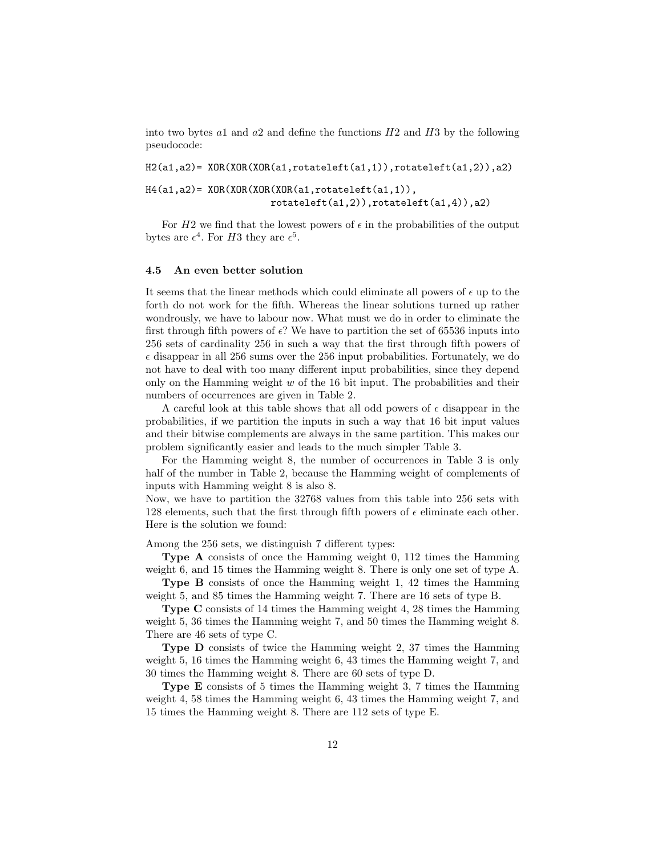into two bytes al and  $a2$  and define the functions  $H2$  and  $H3$  by the following pseudocode:

```
H2(a1,a2)= XOR(XOR(XOR(a1,rotateleft(a1,1)),rotateleft(a1,2)),a2)
H4(a1,a2)= XOR(XOR(XOR(XOR(a1,rotateleft(a1,1)),
                      rotateleft(a1,2)),rotateleft(a1,4)),a2)
```
For H2 we find that the lowest powers of  $\epsilon$  in the probabilities of the output bytes are  $\epsilon^4$ . For H3 they are  $\epsilon^5$ .

#### 4.5 An even better solution

It seems that the linear methods which could eliminate all powers of  $\epsilon$  up to the forth do not work for the fifth. Whereas the linear solutions turned up rather wondrously, we have to labour now. What must we do in order to eliminate the first through fifth powers of  $\epsilon$ ? We have to partition the set of 65536 inputs into 256 sets of cardinality 256 in such a way that the first through fifth powers of  $\epsilon$  disappear in all 256 sums over the 256 input probabilities. Fortunately, we do not have to deal with too many different input probabilities, since they depend only on the Hamming weight  $w$  of the 16 bit input. The probabilities and their numbers of occurrences are given in Table 2.

A careful look at this table shows that all odd powers of  $\epsilon$  disappear in the probabilities, if we partition the inputs in such a way that 16 bit input values and their bitwise complements are always in the same partition. This makes our problem significantly easier and leads to the much simpler Table 3.

For the Hamming weight 8, the number of occurrences in Table 3 is only half of the number in Table 2, because the Hamming weight of complements of inputs with Hamming weight 8 is also 8.

Now, we have to partition the 32768 values from this table into 256 sets with 128 elements, such that the first through fifth powers of  $\epsilon$  eliminate each other. Here is the solution we found:

Among the 256 sets, we distinguish 7 different types:

Type A consists of once the Hamming weight 0, 112 times the Hamming weight 6, and 15 times the Hamming weight 8. There is only one set of type A.

Type B consists of once the Hamming weight 1, 42 times the Hamming weight 5, and 85 times the Hamming weight 7. There are 16 sets of type B.

Type C consists of 14 times the Hamming weight 4, 28 times the Hamming weight 5, 36 times the Hamming weight 7, and 50 times the Hamming weight 8. There are 46 sets of type C.

Type D consists of twice the Hamming weight 2, 37 times the Hamming weight 5, 16 times the Hamming weight 6, 43 times the Hamming weight 7, and 30 times the Hamming weight 8. There are 60 sets of type D.

Type E consists of 5 times the Hamming weight 3, 7 times the Hamming weight 4, 58 times the Hamming weight 6, 43 times the Hamming weight 7, and 15 times the Hamming weight 8. There are 112 sets of type E.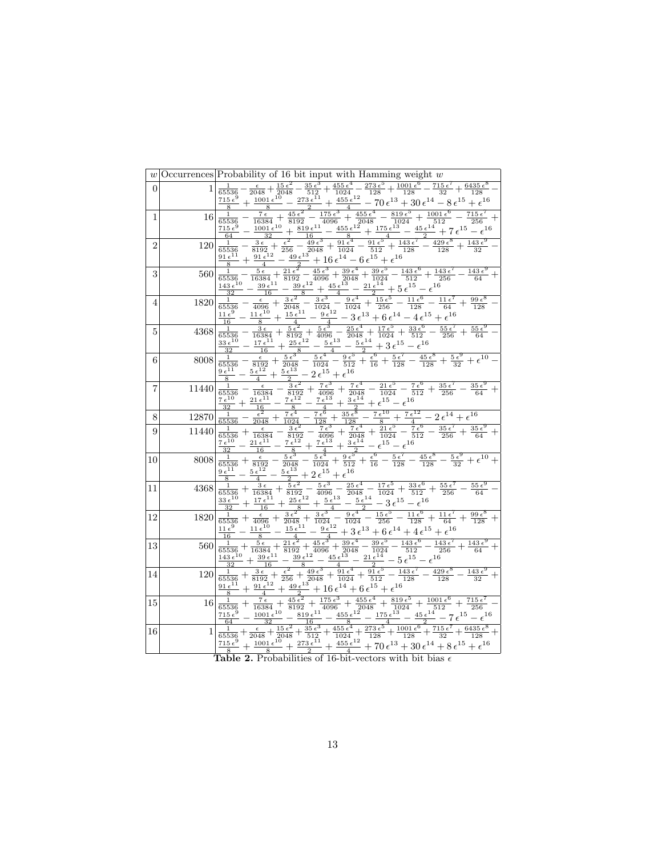|                |       | $w$ Occurrences Probability of 16 bit input with Hamming weight $w$                                                                                                                                                                                                                                                                                                                                                               |
|----------------|-------|-----------------------------------------------------------------------------------------------------------------------------------------------------------------------------------------------------------------------------------------------------------------------------------------------------------------------------------------------------------------------------------------------------------------------------------|
| $\overline{0}$ |       |                                                                                                                                                                                                                                                                                                                                                                                                                                   |
| $\mathbf{1}$   | 16    |                                                                                                                                                                                                                                                                                                                                                                                                                                   |
| $\overline{2}$ | 120   |                                                                                                                                                                                                                                                                                                                                                                                                                                   |
| 3              | 560   |                                                                                                                                                                                                                                                                                                                                                                                                                                   |
| 4              | 1820  | $\frac{\frac{91 \epsilon^{11}}{8} + \frac{91 \epsilon^{12}}{2} - \frac{200}{49 \epsilon^{13}} + 16 \epsilon^{14} - 6 \epsilon^{15} + \epsilon^{16}}{\frac{1}{65536} - \frac{5 \epsilon}{16384} + \frac{21 \epsilon^2}{8192} - \frac{45 \epsilon^3}{4096} + \frac{39 \epsilon^4}{2048} + \frac{39 \epsilon^5}{1024} - \frac{143 \epsilon^6}{512} + \frac{143 \epsilon^7}{256} - \frac{143 \epsilon^9}{64} + \frac{143 \epsilon^{1$ |
| $\rm 5$        | 4368  |                                                                                                                                                                                                                                                                                                                                                                                                                                   |
| 6              | 8008  |                                                                                                                                                                                                                                                                                                                                                                                                                                   |
| $\overline{7}$ | 11440 |                                                                                                                                                                                                                                                                                                                                                                                                                                   |
| 8              | 12870 |                                                                                                                                                                                                                                                                                                                                                                                                                                   |
| 9              | 11440 | $\frac{\epsilon^{10}}{32} - \frac{21\epsilon^{11}}{16} - \frac{7\epsilon^{12}}{8} + \frac{7\epsilon^{13}}{4} + \frac{3\epsilon^{14}}{2} - \epsilon^{15} - \epsilon^{16}$<br>$7\,\epsilon^{10}$                                                                                                                                                                                                                                    |
| 10             | 8008  | $\frac{\frac{32}{16}-\frac{16}{8}+\frac{1}{4}+\frac{1}{2}-\epsilon- \epsilon}{\frac{1}{65536}+\frac{\epsilon}{8192}-\frac{5\epsilon^3}{2048}-\frac{5\epsilon^4}{1024}+\frac{9\epsilon^5}{512}+\frac{\epsilon^6}{16}-\frac{5\epsilon^7}{128}-\frac{45\epsilon^8}{128}-\frac{5\epsilon^9}{32}+\epsilon^{10}+$<br>$\frac{9\,\epsilon^{11}}{8}-\frac{5\,\epsilon^{12}}{4}-\frac{5\,\epsilon^{13}}{2}+2\,\epsilon^{15}+\epsilon^{16}$  |
| 11             | 4368  | $\frac{\frac{8}{65536}+\frac{3}{16384}+\frac{5}{512^2}-\frac{5}{4096}-\frac{25}{2048}-\frac{17}{1024}+\frac{33}{512}+\frac{55}{256}-\frac{55}{64}-\frac{33}{404}}{32}-\frac{17}{4096}+\frac{17}{256}+\frac{17}{4096}+\frac{25}{4096}+\frac{17}{4096}+\frac{25}{4096}+\frac{17}{4096}+\frac{17}{4096}+\frac{17}{4096}+\frac{17}{4096}+\$                                                                                           |
| 12             | 1820  |                                                                                                                                                                                                                                                                                                                                                                                                                                   |
| 13             | 560   | $\frac{\frac{11}{16}e^8}{\frac{11}{65536}+\frac{16}{1638}+\frac{16}{1612}+\frac{16}{1612}+\frac{16}{1612}+\frac{16}{1612}+\frac{16}{1612}+\frac{16}{1612}+\frac{16}{1612}+\frac{16}{1612}+\frac{16}{1612}+\frac{16}{1612}+\frac{16}{1612}+\frac{16}{1612}+\frac{16}{1612}+\frac{16}{1612}+\frac{16}{1612}+\frac{16}{1612}+\frac{16}{$                                                                                             |
| 14             | 120   |                                                                                                                                                                                                                                                                                                                                                                                                                                   |
| 15             | 16    |                                                                                                                                                                                                                                                                                                                                                                                                                                   |
| 16             | 1     | $\frac{\frac{64}{61}}{\frac{65536}{8} + \frac{\epsilon}{2048} + \frac{15\epsilon^2}{2048} + \frac{455\epsilon^3}{512} + \frac{455\epsilon^4}{1024} + \frac{273\epsilon^5}{128} + \frac{1001\epsilon^6}{128} + \frac{715\epsilon^7}{32} + \frac{6435\epsilon^8}{128} + \frac{715\epsilon^7}{128} + \frac{6435\epsilon^8}{128} + \frac{1001\epsilon^{10}}{8} + \frac{273\epsilon^{11}}{2} + \frac{455$                              |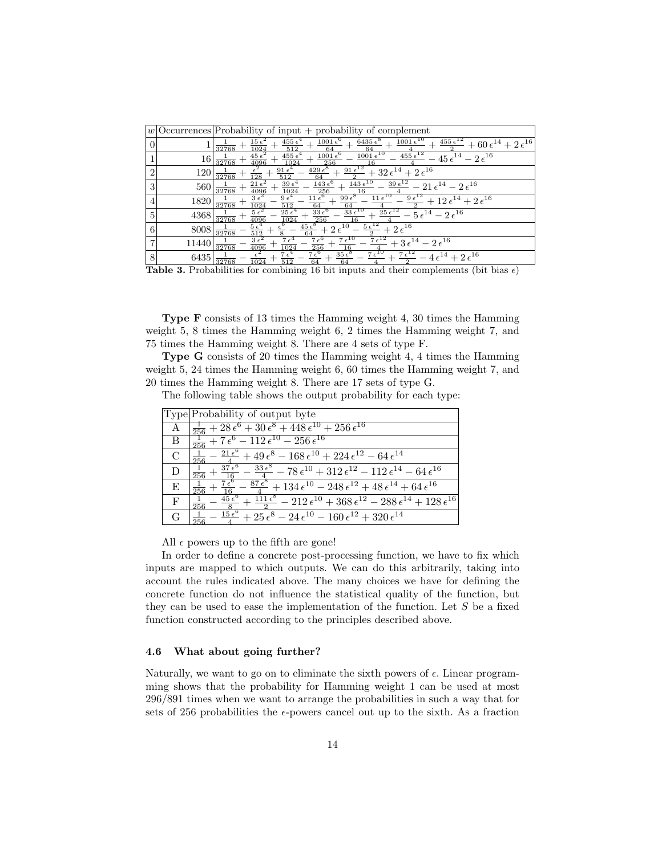|                |       | $ w $ Occurrences Probability of input + probability of complement                                                                                                                                                                                                                                                                                                                                                                          |
|----------------|-------|---------------------------------------------------------------------------------------------------------------------------------------------------------------------------------------------------------------------------------------------------------------------------------------------------------------------------------------------------------------------------------------------------------------------------------------------|
|                |       | $\frac{6435 \epsilon^8}{64} + \frac{1001 \epsilon^{10}}{4} + \frac{455 \epsilon^{12}}{2} + 60 \epsilon^{14} + 2 \epsilon^{16}$<br>$\frac{455 \epsilon^4}{512} + \frac{1001 \epsilon^6}{64} +$<br>$15\epsilon^2$<br>$\frac{32768}{ }$ +                                                                                                                                                                                                      |
|                | 16    | $-\frac{\frac{102}{1024} + \frac{20000}{512} + \frac{64}{64}}{1024} + \frac{64}{1024} + \frac{64}{256} - \frac{1001\epsilon^{10}}{16} - \frac{455\epsilon^{12}}{4} - 45\epsilon^{14} - 2\epsilon^{16}}{\epsilon^{14} - 2\epsilon^{16}}$<br>$\frac{1}{32768}$ +                                                                                                                                                                              |
| $\overline{2}$ | 120   | $rac{\frac{13}{256}}{\frac{429}{256}}$<br>$\frac{\epsilon^2}{128} +$<br>$+\frac{91\epsilon^{12}}{2}+32\epsilon^{14}+2\epsilon^{16}$<br>$\frac{1}{32768}$<br>64                                                                                                                                                                                                                                                                              |
| 3              | 560   | $\frac{\frac{91\epsilon^4}{512}}{-\frac{39\epsilon^4}{1024}} - \frac{39\epsilon^4}{\frac{9\epsilon^4}{512}}$<br>$\frac{\frac{126}{21 \epsilon^2} + \frac{1096}{4096} + \frac{3 \epsilon^2}{1024}}{\frac{5 \epsilon^2}{2024}}$<br>$\frac{\frac{34}{143 \epsilon^{6}}}{\frac{36 \epsilon}{16}} + \frac{\frac{143 \epsilon^{10}}{16}}{\frac{16}{16}} - \frac{39 \epsilon^{12}}{4} - 21 \epsilon^{14} - 2 \epsilon^{16}$<br>$\frac{1}{32768} +$ |
|                | 1820  | $\frac{256}{11\epsilon^6}$<br>$\frac{\frac{1}{2} + \frac{1}{16}}{99 \epsilon^8} - \frac{11 \epsilon^{10}}{4} - \frac{9 \epsilon^{12}}{2} + 12 \epsilon^{14} + 2 \epsilon^{16}}$<br>$\frac{1}{64}$ + -<br>$\frac{1}{32768} +$<br>512                                                                                                                                                                                                         |
| 5              | 4368  | $\frac{\frac{04}{33 \epsilon^{10}}}{\frac{12}{12} + \frac{25 \epsilon^{12}}{4} - 5 \epsilon^{14} - 2 \epsilon^{16}}$<br>$25\epsilon^4$<br>$33\epsilon^6$<br>$\frac{1}{32768}$ +<br>$-\frac{1024}{\epsilon^6}$ +<br>16                                                                                                                                                                                                                       |
|                | 8008  | $\frac{\frac{4096}{5\epsilon^4}}{\frac{512}{3\epsilon^2}}$<br>$rac{\frac{6}{256}}{\frac{45}{25}}$<br>$5\epsilon^{12}$<br>$+2\,\epsilon^{\overline{10}}$ -<br>$+2\epsilon^{16}$<br>$\frac{1}{32768}$<br>$\overline{64}$                                                                                                                                                                                                                      |
| $\overline{7}$ | 11440 | $7\epsilon^4$<br>$\frac{7\epsilon^{10}}{2}$<br>$\frac{7\,\epsilon^{12}}{1}+3\,\epsilon^{14}-2\,\epsilon^{16}$<br>$7\epsilon^6$<br>32768<br>$\frac{4096}{\epsilon^2}$                                                                                                                                                                                                                                                                        |
| 8              | 6435  | $\frac{256}{7\epsilon^6}$<br>$\frac{1024}{7\epsilon^4}$<br>$\frac{16}{35\epsilon^8}$<br>$\frac{7\,\epsilon^{10}}{4} + \frac{7\,\epsilon^{12}}{2} - 4\,\epsilon^{14} + 2\,\epsilon^{16}$<br>32768<br>512<br>64<br>1024<br>64                                                                                                                                                                                                                 |

**Table 3.** Probabilities for combining 16 bit inputs and their complements (bit bias  $\epsilon$ )

Type F consists of 13 times the Hamming weight 4, 30 times the Hamming weight 5, 8 times the Hamming weight 6, 2 times the Hamming weight 7, and 75 times the Hamming weight 8. There are 4 sets of type F.

Type G consists of 20 times the Hamming weight 4, 4 times the Hamming weight 5, 24 times the Hamming weight 6, 60 times the Hamming weight 7, and 20 times the Hamming weight 8. There are 17 sets of type G.

The following table shows the output probability for each type:

|               | Type Probability of output byte                                                                                                                              |
|---------------|--------------------------------------------------------------------------------------------------------------------------------------------------------------|
| A             | $\frac{1}{256} + 28 \,\epsilon^6 + \overline{30 \,\epsilon^8 + 448 \,\epsilon^{10} + 256 \,\epsilon^{16}}$                                                   |
| В             | $\frac{1}{256} + 7\,\overline{\epsilon^6 - 112\,\epsilon^{10} - 256\,\epsilon^{16}}$                                                                         |
| $\mathcal{C}$ | $\frac{21\epsilon^6}{4} + 49\epsilon^8 - 168\epsilon^{10} + 224\epsilon^{12} - 64\epsilon^{14}$<br>$\frac{1}{256}$                                           |
| D             | $\frac{37\epsilon^6}{4\epsilon^2} - \frac{33\epsilon^8}{4} - 78\epsilon^{10} + 312\epsilon^{12} - 112\epsilon^{14} - 64\epsilon^{16}$<br>$rac{1}{256}$       |
| Ε             | $\frac{16}{7\epsilon^6}$<br>$\frac{87\,\epsilon^8}{4} + 134\,\epsilon^{10} - 248\,\epsilon^{12} + 48\,\epsilon^{14} + 64\,\epsilon^{16}$<br>$\overline{256}$ |
| F             | $45\,\epsilon^6$<br>$\frac{111\epsilon^8}{2}-212\epsilon^{10}+368\epsilon^{12}-288\epsilon^{14}+128\epsilon^{16}$<br>$\frac{1}{256}$                         |
| G             | $\frac{15\epsilon^6}{4} + 25\epsilon^8 - 24\epsilon^{10} - 160\epsilon^{12} + 320\epsilon^{14}$<br>256                                                       |

All  $\epsilon$  powers up to the fifth are gone!

In order to define a concrete post-processing function, we have to fix which inputs are mapped to which outputs. We can do this arbitrarily, taking into account the rules indicated above. The many choices we have for defining the concrete function do not influence the statistical quality of the function, but they can be used to ease the implementation of the function. Let S be a fixed function constructed according to the principles described above.

### 4.6 What about going further?

Naturally, we want to go on to eliminate the sixth powers of  $\epsilon$ . Linear programming shows that the probability for Hamming weight 1 can be used at most 296/891 times when we want to arrange the probabilities in such a way that for sets of 256 probabilities the  $\epsilon$ -powers cancel out up to the sixth. As a fraction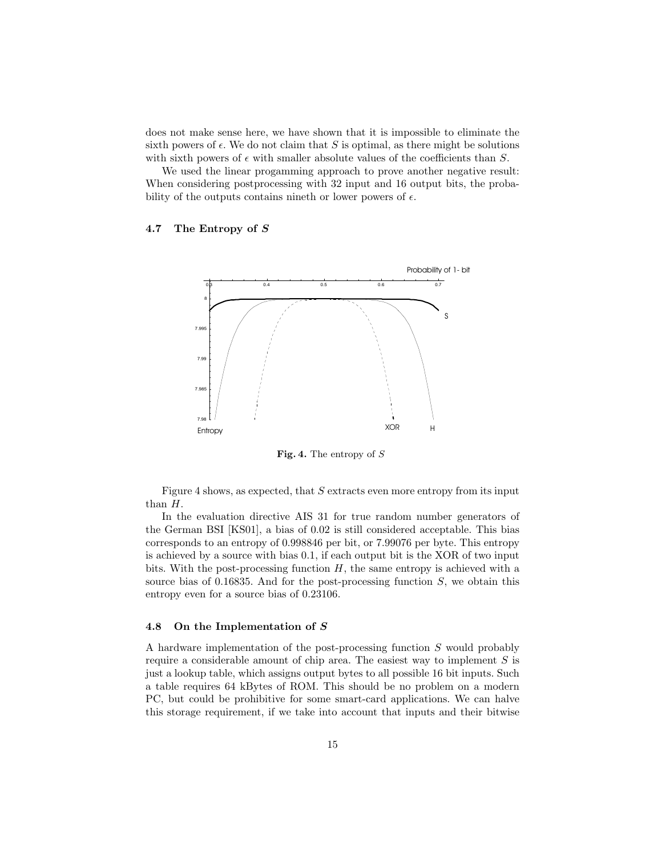does not make sense here, we have shown that it is impossible to eliminate the sixth powers of  $\epsilon$ . We do not claim that S is optimal, as there might be solutions with sixth powers of  $\epsilon$  with smaller absolute values of the coefficients than S.

We used the linear progamming approach to prove another negative result: When considering postprocessing with 32 input and 16 output bits, the probability of the outputs contains nineth or lower powers of  $\epsilon$ .

## 4.7 The Entropy of S



Fig. 4. The entropy of  $S$ 

Figure 4 shows, as expected, that  $S$  extracts even more entropy from its input than H.

In the evaluation directive AIS 31 for true random number generators of the German BSI [KS01], a bias of 0.02 is still considered acceptable. This bias corresponds to an entropy of 0.998846 per bit, or 7.99076 per byte. This entropy is achieved by a source with bias 0.1, if each output bit is the XOR of two input bits. With the post-processing function  $H$ , the same entropy is achieved with a source bias of 0.16835. And for the post-processing function  $S$ , we obtain this entropy even for a source bias of 0.23106.

### 4.8 On the Implementation of S

A hardware implementation of the post-processing function S would probably require a considerable amount of chip area. The easiest way to implement  $S$  is just a lookup table, which assigns output bytes to all possible 16 bit inputs. Such a table requires 64 kBytes of ROM. This should be no problem on a modern PC, but could be prohibitive for some smart-card applications. We can halve this storage requirement, if we take into account that inputs and their bitwise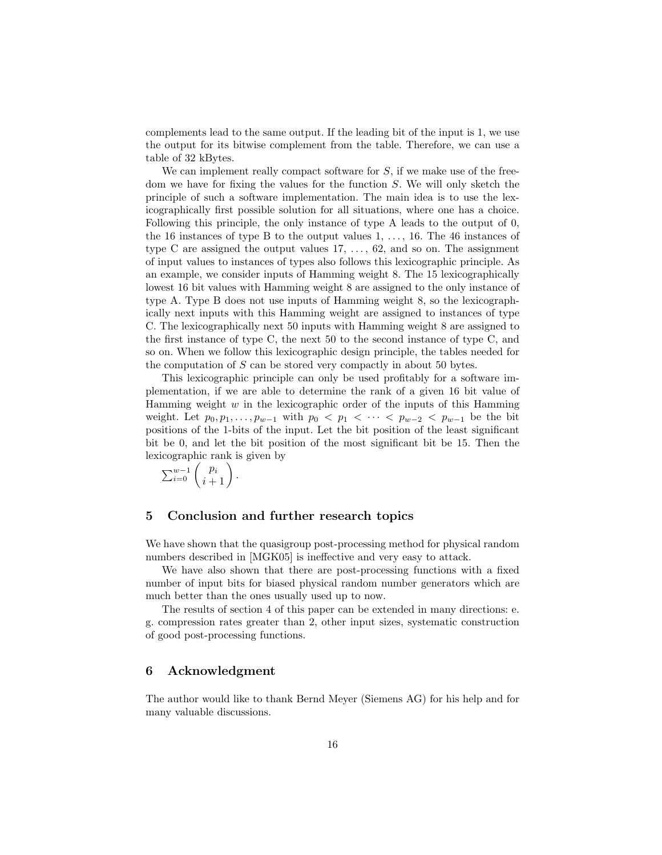complements lead to the same output. If the leading bit of the input is 1, we use the output for its bitwise complement from the table. Therefore, we can use a table of 32 kBytes.

We can implement really compact software for  $S$ , if we make use of the freedom we have for fixing the values for the function S. We will only sketch the principle of such a software implementation. The main idea is to use the lexicographically first possible solution for all situations, where one has a choice. Following this principle, the only instance of type A leads to the output of 0, the 16 instances of type B to the output values  $1, \ldots, 16$ . The 46 instances of type C are assigned the output values  $17, \ldots, 62$ , and so on. The assignment of input values to instances of types also follows this lexicographic principle. As an example, we consider inputs of Hamming weight 8. The 15 lexicographically lowest 16 bit values with Hamming weight 8 are assigned to the only instance of type A. Type B does not use inputs of Hamming weight 8, so the lexicographically next inputs with this Hamming weight are assigned to instances of type C. The lexicographically next 50 inputs with Hamming weight 8 are assigned to the first instance of type C, the next 50 to the second instance of type C, and so on. When we follow this lexicographic design principle, the tables needed for the computation of S can be stored very compactly in about 50 bytes.

This lexicographic principle can only be used profitably for a software implementation, if we are able to determine the rank of a given 16 bit value of Hamming weight  $w$  in the lexicographic order of the inputs of this Hamming weight. Let  $p_0, p_1, \ldots, p_{w-1}$  with  $p_0 < p_1 < \cdots < p_{w-2} < p_{w-1}$  be the bit positions of the 1-bits of the input. Let the bit position of the least significant bit be 0, and let the bit position of the most significant bit be 15. Then the lexicographic rank is given by

$$
\sum_{i=0}^{w-1} \binom{p_i}{i+1}.
$$

## 5 Conclusion and further research topics

We have shown that the quasigroup post-processing method for physical random numbers described in [MGK05] is ineffective and very easy to attack.

We have also shown that there are post-processing functions with a fixed number of input bits for biased physical random number generators which are much better than the ones usually used up to now.

The results of section 4 of this paper can be extended in many directions: e. g. compression rates greater than 2, other input sizes, systematic construction of good post-processing functions.

## 6 Acknowledgment

The author would like to thank Bernd Meyer (Siemens AG) for his help and for many valuable discussions.